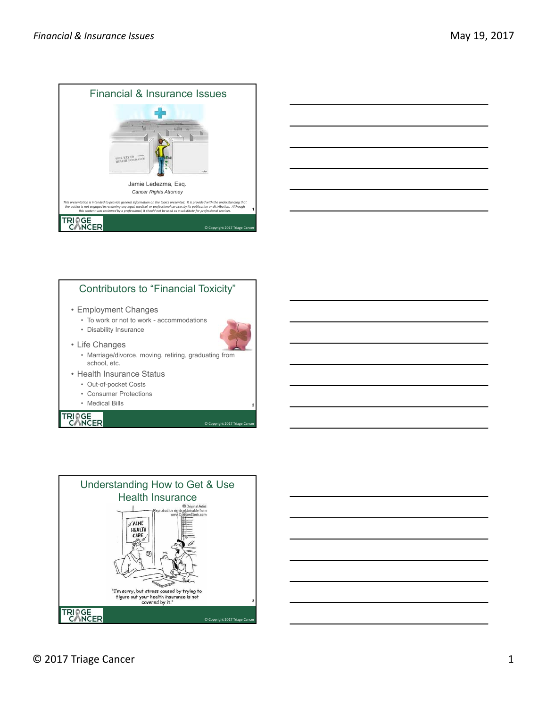



### Contributors to "Financial Toxicity"

- Employment Changes
	- To work or not to work accommodations
	- Disability Insurance



© Copyright 2017 Triage Can

**2**

- Life Changes
	- Marriage/divorce, moving, retiring, graduating from school, etc.
- Health Insurance Status
	- Out-of-pocket Costs
	- Consumer Protections
	- Medical Bills



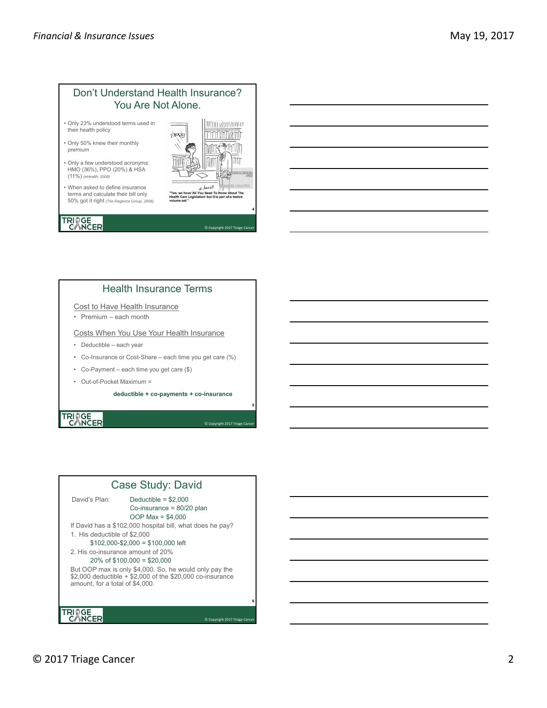

#### Health Insurance Terms

#### Cost to Have Health Insurance

• Premium – each month

#### Costs When You Use Your Health Insurance

- Deductible each year
- Co-Insurance or Cost-Share each time you get care (%)
- Co-Payment each time you get care (\$)
- Out-of-Pocket Maximum =

**deductible + co-payments + co-insurance**

**5**

**6**

© Copyright 2017 Triage Can

© Copyright 2017 Triage Can

# TRIAGE<br>CANCER

#### Case Study: David

David's Plan: Deductible = \$2,000 Co-insurance = 80/20 plan OOP Max = \$4,000 If David has a \$102,000 hospital bill, what does he pay? 1. His deductible of \$2,000  $$102,000 - $2,000 = $100,000$  left 2. His co-insurance amount of 20% 20% of \$100,000 = \$20,000 But OOP max is only \$4,000. So, he would only pay the \$2,000 deductible + \$2,000 of the \$20,000 co-insurance amount, for a total of \$4,000.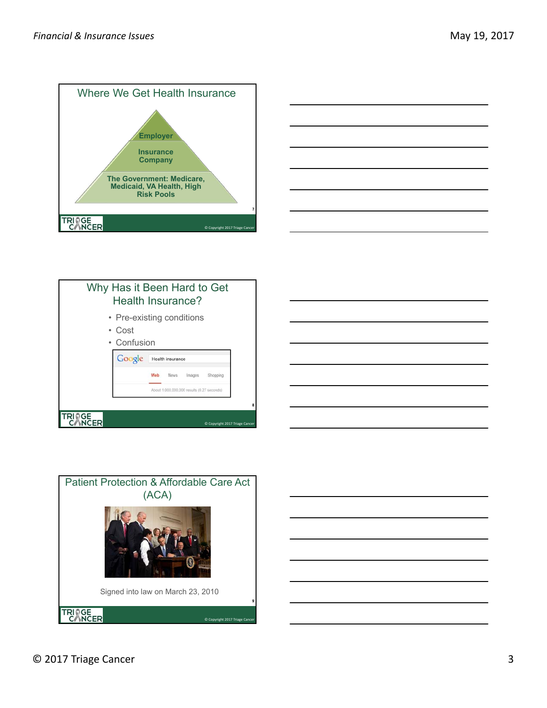







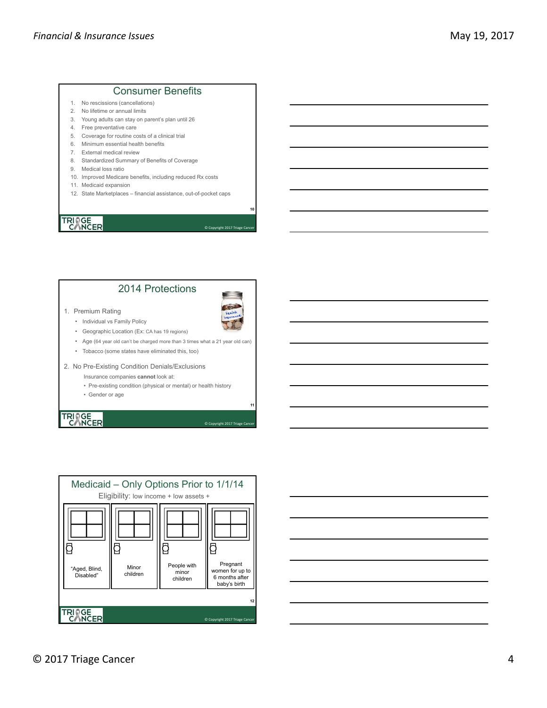#### Consumer Benefits

- 1. No rescissions (cancellations)
- 2. No lifetime or annual limits
- 3. Young adults can stay on parent's plan until 26
- 4. Free preventative care
- 5. Coverage for routine costs of a clinical trial
- 6. Minimum essential health benefits
- 7. External medical review
- 8. Standardized Summary of Benefits of Coverage
- 9. Medical loss ratio
- 10. Improved Medicare benefits, including reduced Rx costs
- 11. Medicaid expansion
- 12. State Marketplaces financial assistance, out-of-pocket caps

# **TRINGE**<br>CANCER

#### 2014 Protections



© Copyright 2017 Triage Cand

**11**

© Copyright 2017 Triage Can

**10**

#### 1. Premium Rating

- Individual vs Family Policy
- Geographic Location (Ex: CA has 19 regions)
- Age (64 year old can't be charged more than 3 times what a 21 year old can)
- Tobacco (some states have eliminated this, too)
- 2. No Pre-Existing Condition Denials/Exclusions
	- Insurance companies **cannot** look at:
	- Pre-existing condition (physical or mental) or health history
	- Gender or age



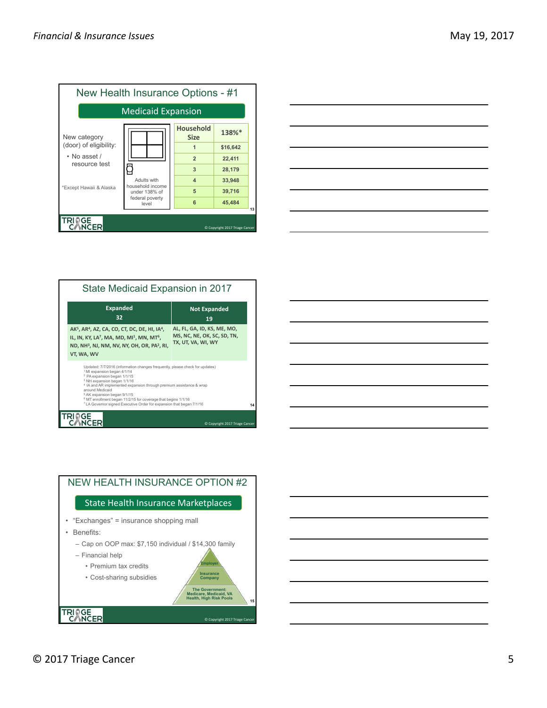

|                                                                                 | $\overline{\phantom{a}}$ |
|---------------------------------------------------------------------------------|--------------------------|
|                                                                                 |                          |
|                                                                                 |                          |
|                                                                                 |                          |
|                                                                                 |                          |
|                                                                                 |                          |
|                                                                                 |                          |
|                                                                                 |                          |
| the contract of the contract of the contract of the contract of the contract of |                          |

| State Medicaid Expansion in 2017                                                                                                                                                                                                                                                                                                                                                                                                                                                                                               |                                |  |
|--------------------------------------------------------------------------------------------------------------------------------------------------------------------------------------------------------------------------------------------------------------------------------------------------------------------------------------------------------------------------------------------------------------------------------------------------------------------------------------------------------------------------------|--------------------------------|--|
| <b>Expanded</b><br>32                                                                                                                                                                                                                                                                                                                                                                                                                                                                                                          | <b>Not Expanded</b><br>19      |  |
| AL, FL, GA, ID, KS, ME, MO,<br>AK <sup>5</sup> , AR <sup>4</sup> , AZ, CA, CO, CT, DC, DE, HI, IA <sup>4</sup> ,<br>MS, NC, NE, OK, SC, SD, TN,<br>IL, IN, KY, LA <sup>7</sup> , MA, MD, MI <sup>1</sup> , MN, MT <sup>6</sup> ,<br>TX, UT, VA, WI, WY<br>ND, NH <sup>3</sup> , NJ, NM, NV, NY, OH, OR, PA <sup>2</sup> , RI,<br>VT, WA, WV                                                                                                                                                                                    |                                |  |
| Updated: 7/7/2016 (information changes frequently, please check for updates)<br><sup>1</sup> MI expansion began 4/1/14<br><sup>2</sup> PA expansion began 1/1/15<br><sup>3</sup> NH expansion began 1/1/16<br><sup>4</sup> IA and AR implemented expansion through premium assistance & wrap<br>around Medicaid<br><sup>5</sup> AK expansion began 9/1/15<br><sup>6</sup> MT enrollment began 11/2/15 for coverage that begins 1/1/16<br><sup>7</sup> LA Governor signed Executive Order for expansion that began 7/1/16<br>14 |                                |  |
|                                                                                                                                                                                                                                                                                                                                                                                                                                                                                                                                | C Copyright 2017 Triage Cancer |  |

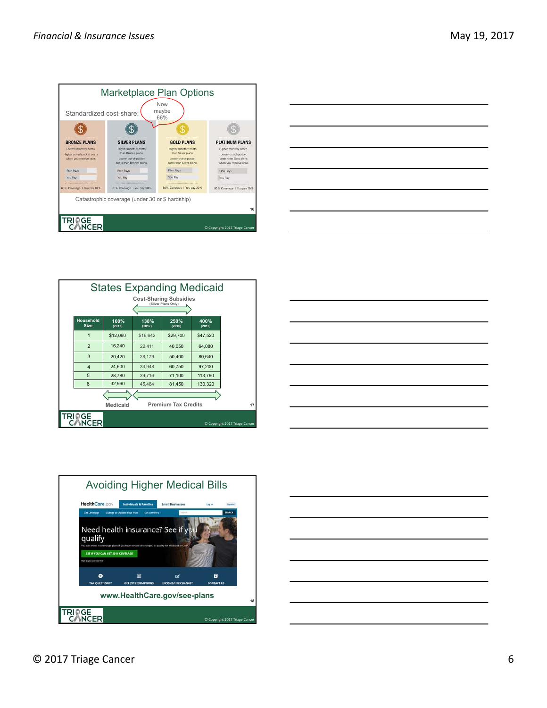









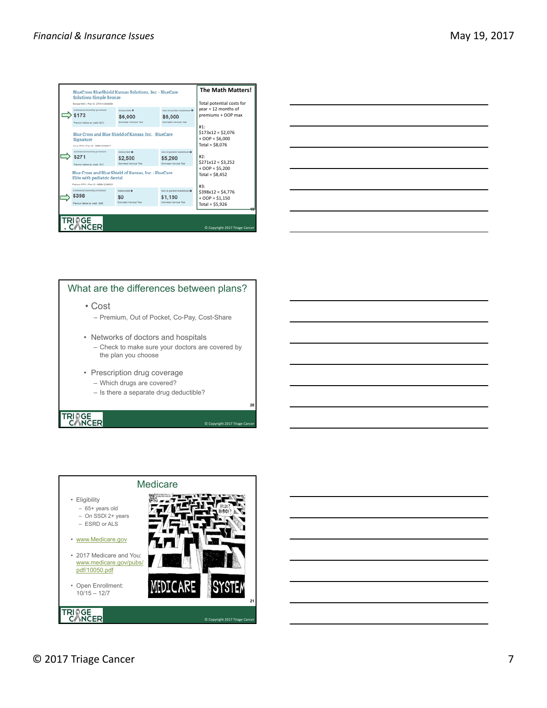| BlueCross BlueShield Kansas Solutions, Inc. - BlueCare                                                     |                                                                                                                          |                                                                 | <b>The Math Matters!</b>                                                   |                                                                   |
|------------------------------------------------------------------------------------------------------------|--------------------------------------------------------------------------------------------------------------------------|-----------------------------------------------------------------|----------------------------------------------------------------------------|-------------------------------------------------------------------|
|                                                                                                            | <b>Solutions Simple Bronze</b><br>Bronze HMO   Pian ID: 27811/30030008                                                   |                                                                 |                                                                            | Total potential costs for                                         |
|                                                                                                            | <b>Estimated monthly premium</b><br>\$173<br>Premium before tax credit: 5213.                                            | Deductible <sup>O</sup><br>\$6,000<br>Estimated Induidual Total | Out-of-oocket maximum <sup>0</sup><br>\$6,000<br>Estimated Induidual Tital | $year = 12$ months of<br>premiums + OOP max                       |
| Blue Cross and Blue Shield of Kansas, Inc. · BlueCare<br>Signature<br>Silver PPO   Plan ID: 18558/30300017 |                                                                                                                          |                                                                 |                                                                            | #1:<br>$$173x12 = $2.076$<br>$+ OOP = $6,000$<br>Total = $$8,076$ |
|                                                                                                            | <b>Estimated monthly premium</b><br>\$271<br>Premium before tax credit: \$311.                                           | Deductible <b>O</b><br>\$2,500<br>Estimated Individual Total    | Out-of-pocket maximum 0<br>\$5,200<br>Estimated Individual Titlel          | #2:<br>$$271x12 = $3,252$                                         |
|                                                                                                            | Blue Cross and Blue Shield of Kansas, Inc. · BlueCare<br>Elite with pediatric dental                                     |                                                                 |                                                                            | $+ OOP = $5,200$<br>Total = $$8,452$                              |
|                                                                                                            | Platinum PPO   Plan ID: 18559/30350001<br><b>Estimated monthly premium</b><br>\$398<br>Premium before tax credit: \$438. | Deductible @<br>S <sub>0</sub><br>Estimated Individual Total    | Out-of-pocket maximum @<br>\$1,150<br>Estimated Individual Total           | #3:<br>$$398x12 = $4.776$<br>$+ OOP = $1,150$<br>Total = $$5,926$ |
| 10                                                                                                         |                                                                                                                          |                                                                 |                                                                            |                                                                   |
| <b>TRIOGE</b><br><b>CANCER</b><br>C Copyright 2017 Triage Cancer                                           |                                                                                                                          |                                                                 |                                                                            |                                                                   |

|  | ____ |
|--|------|
|  | ____ |
|  |      |
|  |      |
|  |      |

### What are the differences between plans?

• Cost

- Premium, Out of Pocket, Co-Pay, Cost-Share
- Networks of doctors and hospitals – Check to make sure your doctors are covered by the plan you choose

**20**

© Copyright 2017 Triage Cancer

- Prescription drug coverage
	- Which drugs are covered?
	- Is there a separate drug deductible?

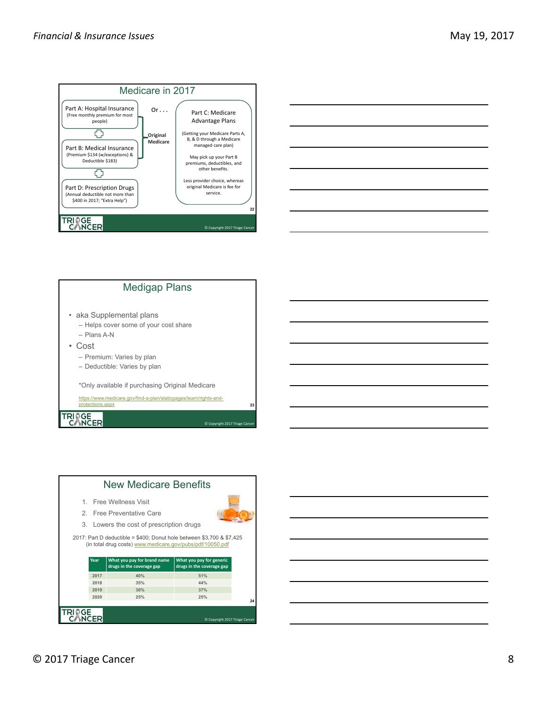



### Medigap Plans • aka Supplemental plans – Helps cover some of your cost share – Plans A-N • Cost – Premium: Varies by plan – Deductible: Varies by plan \*Only available if purchasing Original Medicare https://www.medicare.gov/find-a-plan/staticpages/learn/rights-andprotections.aspx TRIAGE<br>CANCER

 $\overline{\mathbf{2}}$ 

© Copyright 2017 Triage Can



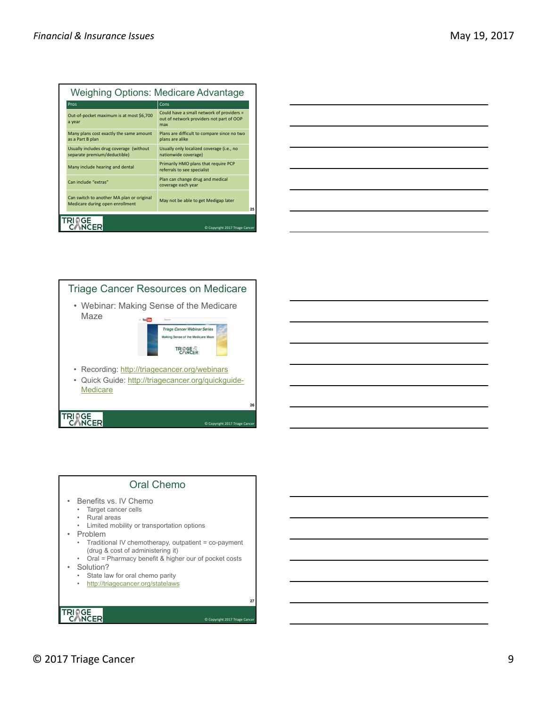| <b>Weighing Options: Medicare Advantage</b> |                                                                              |                                                                                              |    |
|---------------------------------------------|------------------------------------------------------------------------------|----------------------------------------------------------------------------------------------|----|
|                                             | Pros                                                                         | Cons                                                                                         |    |
|                                             | Out-of-pocket maximum is at most \$6,700<br>a year                           | Could have a small network of providers =<br>out of network providers not part of OOP<br>max |    |
|                                             | Many plans cost exactly the same amount<br>as a Part B plan                  | Plans are difficult to compare since no two<br>plans are alike                               |    |
|                                             | Usually includes drug coverage (without<br>separate premium/deductible)      | Usually only localized coverage (i.e., no<br>nationwide coverage)                            |    |
|                                             | Many include hearing and dental                                              | Primarily HMO plans that require PCP<br>referrals to see specialist                          |    |
|                                             | Can include "extras"                                                         | Plan can change drug and medical<br>coverage each year                                       |    |
|                                             | Can switch to another MA plan or original<br>Medicare during open enrollment | May not be able to get Medigap later                                                         | 25 |
| C Copyright 2017 Triage Cancer              |                                                                              |                                                                                              |    |

| <u> 1989 - Johann Stoff, amerikansk politiker (d. 1989)</u> |  |
|-------------------------------------------------------------|--|



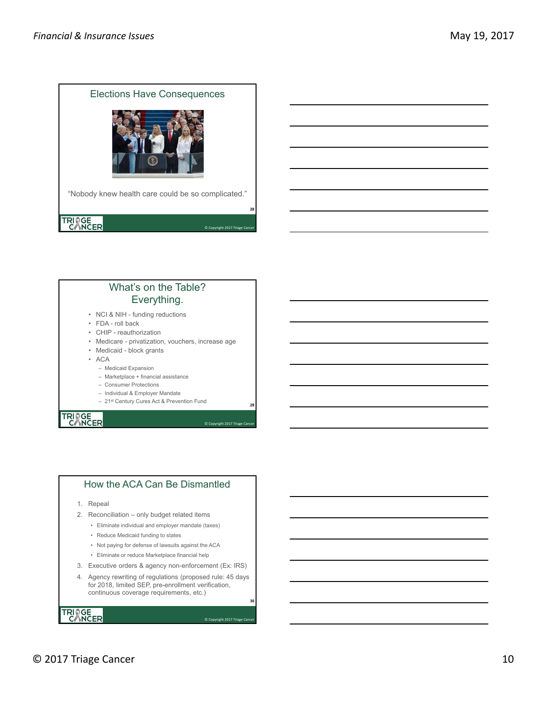

### What's on the Table? Everything.

- NCI & NIH funding reductions
- FDA roll back
- CHIP reauthorization
- Medicare privatization, vouchers, increase age
- Medicaid block grants

• ACA

- Medicaid Expansion
- Marketplace + financial assistance
- Consumer Protections
- Individual & Employer Mandate
- 21st Century Cures Act & Prevention Fund

**29**

**30**

© Copyright 2017 Triage Cancer

© Copyright 2017 Triage Canc

# TRIAGE<br>CANCER

#### How the ACA Can Be Dismantled

- 1. Repeal
- 2. Reconciliation only budget related items
	- Eliminate individual and employer mandate (taxes)
	- Reduce Medicaid funding to states
	- Not paying for defense of lawsuits against the ACA
	- Eliminate or reduce Marketplace financial help
- 3. Executive orders & agency non-enforcement (Ex: IRS)
- 4. Agency rewriting of regulations (proposed rule: 45 days for 2018, limited SEP, pre-enrollment verification, continuous coverage requirements, etc.)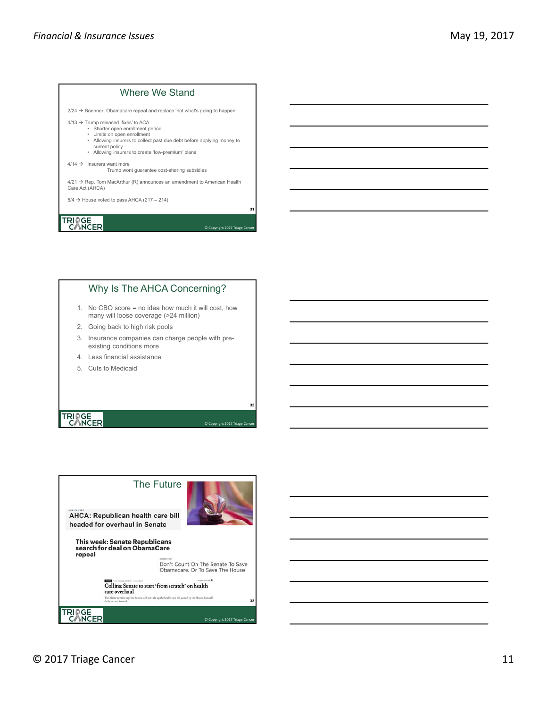#### Where We Stand

 $2/24 \rightarrow$  Boehner: Obamacare repeal and replace 'not what's going to happen'

 $4/13$   $\rightarrow$  Trump released 'fixes' to ACA

- Shorter open enrollment period Limits on open enrollment
- Allowing insurers to collect past due debt before applying money to
- current policy

**31**

**32**

© Copyright 2017 Triage Can

© Copyright 2017 Triage Cand

• Allowing insurers to create 'low-premium' plans

 $4/14 \rightarrow$  Insurers want more

Trump wont guarantee cost-sharing subsidies

 $4/21 \rightarrow$  Rep. Tom MacArthur (R) announces an amendment to American Health Care Act (AHCA)

 $5/4 \rightarrow$  House voted to pass AHCA (217 – 214)

TRIAGE<sub>ER</sub>

#### Why Is The AHCA Concerning?

- 1. No CBO score = no idea how much it will cost, how many will loose coverage (>24 million)
- 2. Going back to high risk pools
- 3. Insurance companies can charge people with preexisting conditions more
- 4. Less financial assistance
- 5. Cuts to Medicaid



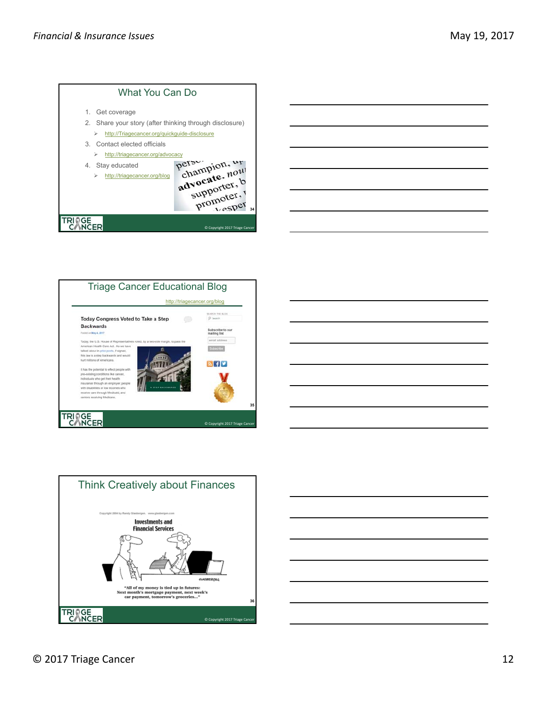

| _______                                              |  |  |
|------------------------------------------------------|--|--|
|                                                      |  |  |
| <u> 1989 - Johann Stoff, Amerikaansk politiker (</u> |  |  |
|                                                      |  |  |







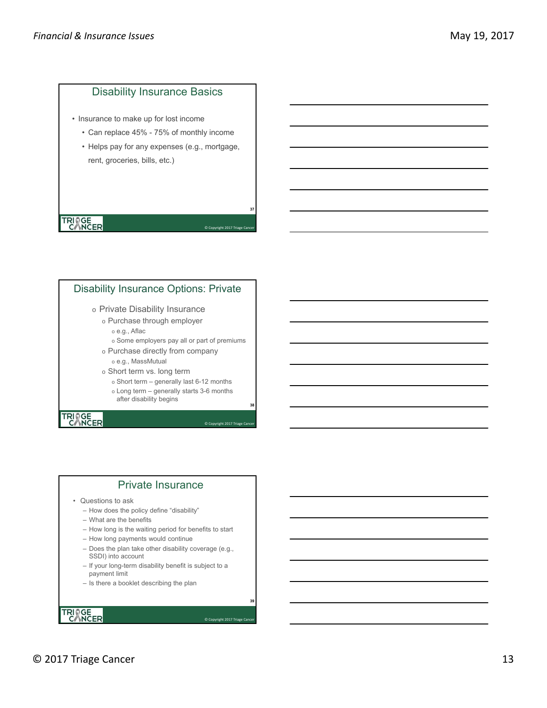### Disability Insurance Basics

- Insurance to make up for lost income
	- Can replace 45% 75% of monthly income
	- Helps pay for any expenses (e.g., mortgage, rent, groceries, bills, etc.)

# TRIAGE<sub>ER</sub>

#### Disability Insurance Options: Private

#### o Private Disability Insurance

- o Purchase through employer
	- o e.g., Aflac
	- o Some employers pay all or part of premiums

**37**

**38**

**39**

© Copyright 2017 Triage Cane

© Copyright 2017 Triage Car

© Copyright 2017 Triage Car

- o Purchase directly from company o e.g., MassMutual
- o Short term vs. long term
	- o Short term generally last 6-12 months
	- o Long term generally starts 3-6 months
	- after disability begins

# TRIAGE<br>CANCER

#### Private Insurance

- Questions to ask
	- How does the policy define "disability"
	- What are the benefits
	- How long is the waiting period for benefits to start
	- How long payments would continue
	- Does the plan take other disability coverage (e.g., SSDI) into account
	- If your long-term disability benefit is subject to a payment limit
	- Is there a booklet describing the plan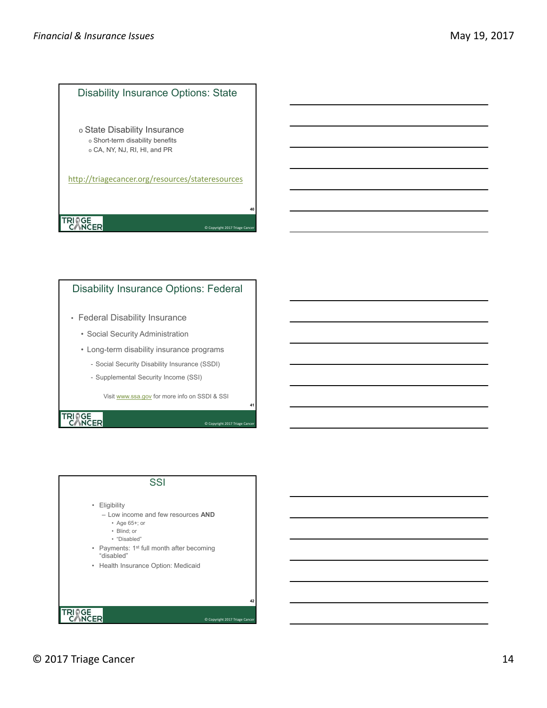#### Disability Insurance Options: State

o State Disability Insurance o Short-term disability benefits o CA, NY, NJ, RI, HI, and PR

http://triagecancer.org/resources/stateresources

**40**

**41**

© Copyright 2017 Triage Car

© Copyright 2017 Triage Cand

# TRIAGE<sub>ER</sub>

#### Disability Insurance Options: Federal

- Federal Disability Insurance
	- Social Security Administration
	- Long-term disability insurance programs
		- Social Security Disability Insurance (SSDI)
		- Supplemental Security Income (SSI)

Visit www.ssa.gov for more info on SSDI & SSI

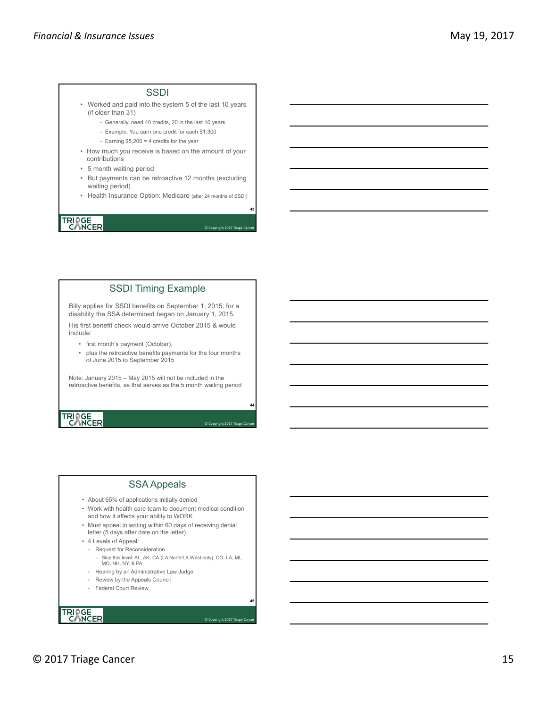#### **SSDI**

- Worked and paid into the system 5 of the last 10 years (if older than 31)
	- Generally, need 40 credits, 20 in the last 10 years
	- Example: You earn one credit for each \$1,300
	- Earning \$5,200 = 4 credits for the year
- How much you receive is based on the amount of your contributions
- 5 month waiting period
- But payments can be retroactive 12 months (excluding waiting period)
- Health Insurance Option: Medicare (after 24 months of SSDI)

**43**

**44**

**45**

© Copyright 2017 Triage Can

© Copyright 2017 Triage Can

© Copyright 2017 Triage Can

### TRIAGE<br>CANCER

### SSDI Timing Example

Billy applies for SSDI benefits on September 1, 2015, for a disability the SSA determined began on January 1, 2015.

His first benefit check would arrive October 2015 & would include:

- first month's payment (October),
- plus the retroactive benefits payments for the four months of June 2015 to September 2015

Note: January 2015 – May 2015 will not be included in the retroactive benefits, as that serves as the 5 month waiting period

# TRIAGE<br>CANCER

#### SSA Appeals

- About 65% of applications initially denied
- Work with health care team to document medical condition and how it affects your ability to WORK
- Must appeal in writing within 60 days of receiving denial letter (5 days after date on the letter)
- 4 Levels of Appeal:
- Request for Reconsideration
- -<br>Skip this level: AL, AK, CA (LA North/LA West only), CO, LA, MI, MO, NH, NY, & PA
- Hearing by an Administrative Law Judge
- Review by the Appeals Council
- Federal Court Review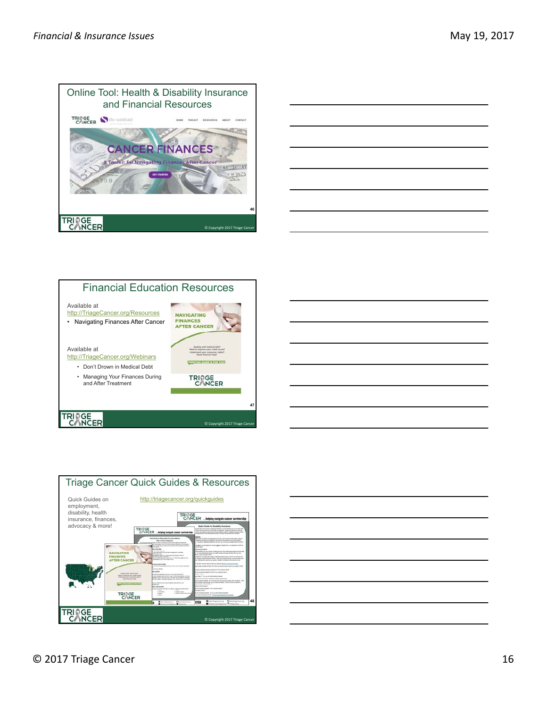